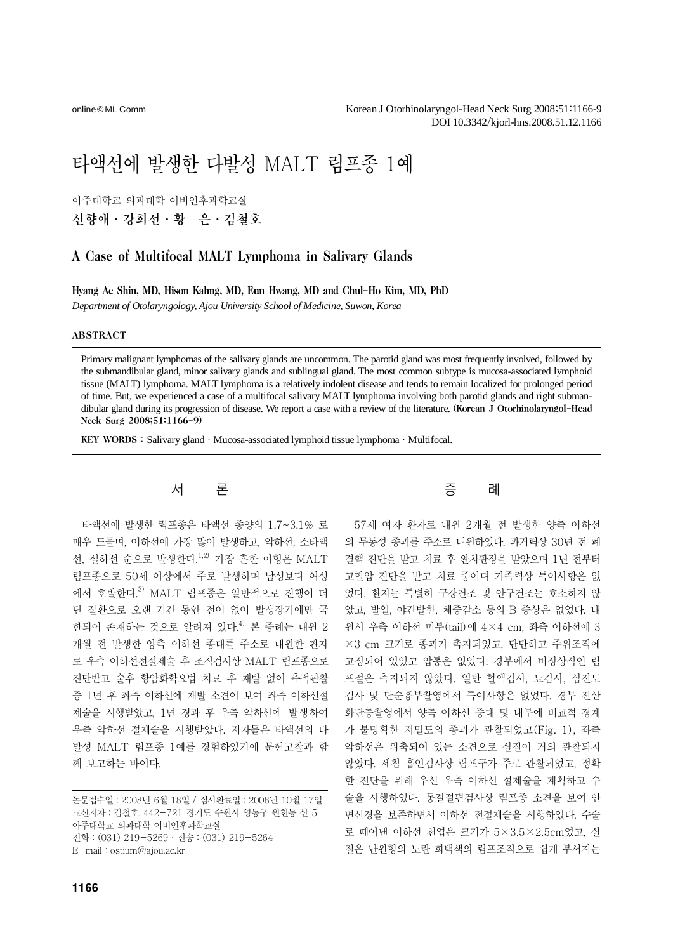online© ML Comm

# 타액선에 발생한 다발성 MALT 림프종 1예

아주대학교 의과대학 이비인후과학교실

신향애·강희선·황 은·김철호

## A Case of Multifocal MALT Lymphoma in Salivary Glands

Hyang Ae Shin, MD, Hison Kahng, MD, Eun Hwang, MD and Chul-Ho Kim, MD, PhD

*Department of Otolaryngology, Ajou University School of Medicine, Suwon, Korea* 

#### ABSTRACT

Primary malignant lymphomas of the salivary glands are uncommon. The parotid gland was most frequently involved, followed by the submandibular gland, minor salivary glands and sublingual gland. The most common subtype is mucosa-associated lymphoid tissue (MALT) lymphoma. MALT lymphoma is a relatively indolent disease and tends to remain localized for prolonged period of time. But, we experienced a case of a multifocal salivary MALT lymphoma involving both parotid glands and right submandibular gland during its progression of disease. We report a case with a review of the literature. (Korean J Otorhinolaryngol-Head Neck Surg 2008;51:1166-9)

KEY WORDS: Salivary gland · Mucosa-associated lymphoid tissue lymphoma · Multifocal.

## 서 론

타액선에 발생한 림프종은 타액선 종양의 1.7~3.1% 로 매우 드물며, 이하선에 가장 많이 발생하고, 악하선, 소타액 선, 설하선 순으로 발생한다. $1,2$ ) 가장 흔한 아형은 MALT 림프종으로 50세 이상에서 주로 발생하며 남성보다 여성 에서 호발한다.3) MALT 림프종은 일반적으로 진행이 더 딘 질환으로 오랜 기간 동안 전이 없이 발생장기에만 국 한되어 존재하는 것으로 알려져 있다.<sup>4)</sup> 본 증례는 내워 2 개월 전 발생한 양측 이하선 종대를 주소로 내원한 환자 로 우측 이하선전절제술 후 조직검사상 MALT 림프종으로 진단받고 술후 항암화학요법 치료 후 재발 없이 추적관찰 중 1년 후 좌측 이하선에 재발 소견이 보여 좌측 이하선절 제술을 시행받았고, 1년 경과 후 우측 악하선에 발생하여 우측 악하선 절제술을 시행받았다. 저자들은 타액선의 다 발성 MALT 림프종 1예를 경험하였기에 문헌고찰과 함 께 보고하는 바이다.

논문접수일:2008년 6월 18일 / 심사완료일:2008년 10월 17일 교신저자:김철호, 442-721 경기도 수원시 영통구 원천동 산 5 아주대학교 의과대학 이비인후과학교실 전화:(031) 219-5269·전송:(031) 219-5264 E-mail:ostium@ajou.ac.kr



57세 여자 환자로 내원 2개월 전 발생한 양측 이하선 의 무통성 종괴를 주소로 내원하였다. 과거력상 30년 전 폐 결핵 진단을 받고 치료 후 완치판정을 받았으며 1년 전부터 고혈압 진단을 받고 치료 중이며 가족력상 특이사항은 없 었다. 환자는 특별히 구강건조 및 안구건조는 호소하지 않 았고, 발열, 야간발한, 체중감소 등의 B 증상은 없었다. 내 원시 우측 이하선 미부(tail)에 4×4 cm, 좌측 이하선에 3 ×3 cm 크기로 종괴가 촉지되었고, 단단하고 주위조직에 고정되어 있었고 압통은 없었다. 경부에서 비정상적인 림 프절은 촉지되지 않았다. 일반 혈액검사, 뇨검사, 심전도 검사 및 단순흉부촬영에서 특이사항은 없었다. 경부 전산 화단층촬영에서 양측 이하선 증대 및 내부에 비교적 경계 가 불명확한 저밀도의 종괴가 관찰되었고(Fig. 1), 좌측 악하선은 위축되어 있는 소견으로 실질이 거의 관찰되지 않았다. 세침 흡인검사상 림프구가 주로 관찰되었고, 정확 한 진단을 위해 우선 우측 이하선 절제술을 계획하고 수 술을 시행하였다. 동결절편검사상 림프종 소견을 보여 안 면신경을 보존하면서 이하선 전절제술을 시행하였다. 수술 로 떼어낸 이하선 천엽은 크기가 5×3.5×2.5cm였고, 실 질은 난원형의 노란 회백색의 림프조직으로 쉽게 부서지는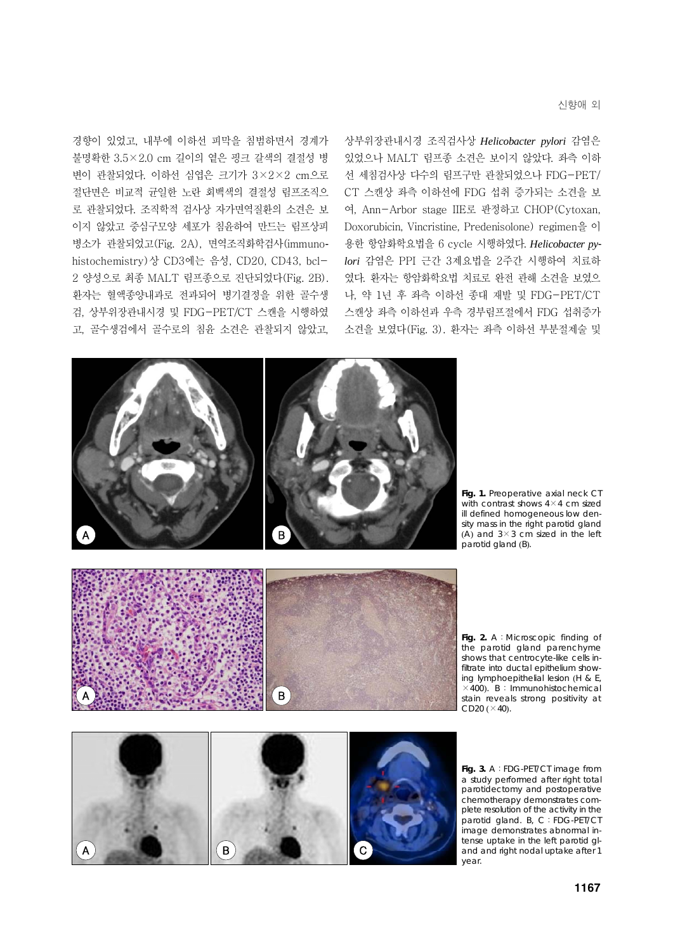신향애 외

경향이 있었고, 내부에 이하선 피막을 침범하면서 경계가 불명확한 3.5×2.0 cm 길이의 옅은 핑크 갈색의 결절성 병 변이 관찰되었다. 이하선 심엽은 크기가 3×2×2 cm으로 절단면은 비교적 균일한 노란 회백색의 결절성 림프조직으 로 관찰되었다. 조직학적 검사상 자가면역질환의 소견은 보 이지 않았고 중심구모양 세포가 침윤하여 만드는 림프상피 병소가 관찰되었고(Fig. 2A), 면역조직화학검사(immunohistochemistry)상 CD3에는 음성, CD20, CD43, bcl-2 양성으로 최종 MALT 림프종으로 진단되었다(Fig. 2B). 환자는 혈액종양내과로 전과되어 병기결정을 위한 골수생 검, 상부위장관내시경 및 FDG-PET/CT 스캔을 시행하였 고, 골수생검에서 골수로의 침윤 소견은 관찰되지 않았고,

상부위장관내시경 조직검사상 *Helicobacter pylori* 감염은 있었으나 MALT 림프종 소견은 보이지 않았다. 좌측 이하 선 세침검사상 다수의 림프구만 관찰되었으나 FDG-PET/ CT 스캔상 좌측 이하선에 FDG 섭취 증가되는 소견을 보 여, Ann-Arbor stage IIE로 판정하고 CHOP(Cytoxan, Doxorubicin, Vincristine, Predenisolone) regimen을 이 용한 항암화학요법을 6 cycle 시행하였다. *Helicobacter pylori* 감염은 PPI 근간 3제요법을 2주간 시행하여 치료하 였다. 환자는 항암화학요법 치료로 완전 관해 소견을 보였으 나, 약 1년 후 좌측 이하선 종대 재발 및 FDG-PET/CT 스캔상 좌측 이하선과 우측 경부림프절에서 FDG 섭취증가 소견을 보였다(Fig. 3). 환자는 좌측 이하선 부분절제술 및



Fig. 1. Preoperative axial neck CT with contrast shows  $4 \times 4$  cm sized ill defined homogeneous low density mass in the right parotid gland (A) and  $3 \times 3$  cm sized in the left



**Fig. 2.** A:Microscopic finding of the parotid gland parenchyme shows that centrocyte-like cells infiltrate into ductal epithelium showing lymphoepithelial lesion (H & E,  $\times$ 400). B: Immunohistochemical stain reveals strong positivity at CD20  $(\times 40)$ .



**Fig. 3.** A:FDG-PET/CT image from a study performed after right total parotidectomy and postoperative chemotherapy demonstrates complete resolution of the activity in the parotid gland. B, C:FDG-PET/CT image demonstrates abnormal intense uptake in the left parotid gland and right nodal uptake after 1 year.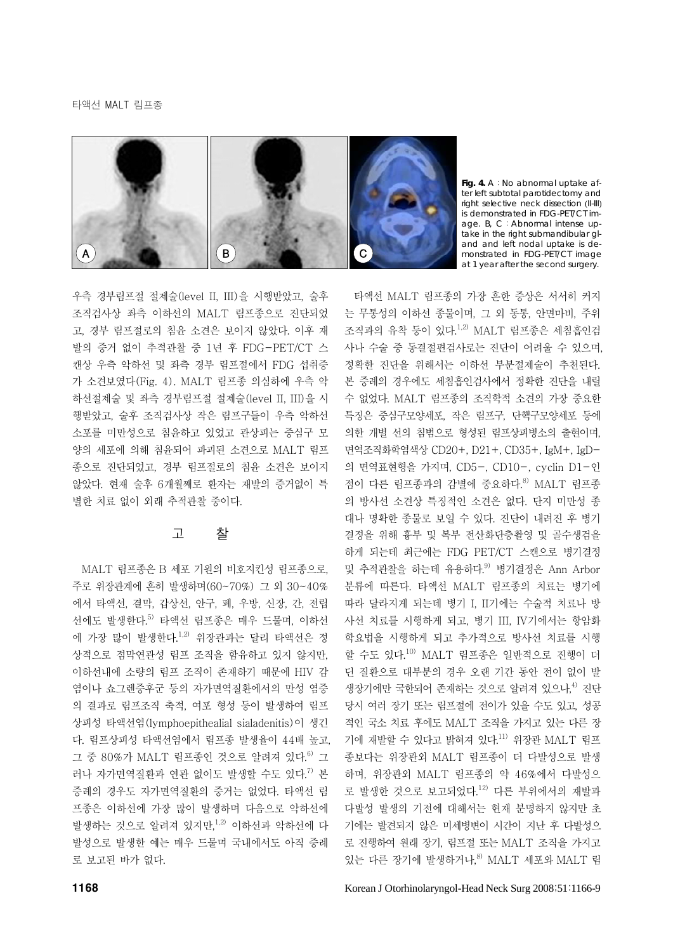

**Fig. 4.** A:No abnormal uptake after left subtotal parotidectomy and right selective neck dissection (II-III) is demonstrated in FDG-PET/CT image. B, C:Abnormal intense uptake in the right submandibular gland and left nodal uptake is demonstrated in FDG-PET/CT image at 1 year after the second surgery.

우측 경부림프절 절제술(level II, III)을 시행받았고, 술후 조직검사상 좌측 이하선의 MALT 림프종으로 진단되었 고, 경부 림프절로의 침윤 소견은 보이지 않았다. 이후 재 발의 증거 없이 추적관찰 중 1년 후 FDG-PET/CT 스 캔상 우측 악하선 및 좌측 경부 림프절에서 FDG 섭취증 가 소견보였다(Fig. 4). MALT 림프종 의심하에 우측 악 하선절제술 및 좌측 경부림프절 절제술(level II, III)을 시 행받았고, 술후 조직검사상 작은 림프구들이 우측 악하선 소포를 미만성으로 침윤하고 있었고 관상피는 중심구 모 양의 세포에 의해 침윤되어 파괴된 소견으로 MALT 림프 종으로 진단되었고, 경부 림프절로의 침윤 소견은 보이지 않았다. 현재 술후 6개월째로 환자는 재발의 증거없이 특 별한 치료 없이 외래 추적관찰 중이다.

## 고 찰

MALT 림프종은 B 세포 기원의 비호지킨성 림프종으로, 주로 위장관계에 흔히 발생하며(60~70%) 그 외 30~40% 에서 타액선, 결막, 갑상선, 안구, 폐, 우방, 신장, 간, 전립 선에도 발생한다.5) 타액선 림프종은 매우 드물며, 이하선 에 가장 많이 발생한다.<sup>1,2)</sup> 위장관과는 달리 타액선은 정 상적으로 점막연관성 림프 조직을 함유하고 있지 않지만, 이하선내에 소량의 림프 조직이 존재하기 때문에 HIV 감 염이나 쇼그렌증후군 등의 자가면역질환에서의 만성 염증 의 결과로 림프조직 축적, 여포 형성 등이 발생하여 림프 상피성 타액선염(lymphoepithealial sialadenitis)이 생긴 다. 림프상피성 타액선염에서 림프종 발생율이 44배 높고, 그 중 80%가 MALT 림프종인 것으로 알려져 있다.<sup>6)</sup> 그 러나 자가면역질화과 연관 없이도 발생할 수도 있다.<sup>7)</sup> 본 증례의 경우도 자가면역질환의 증거는 없었다. 타액선 림 프종은 이하선에 가장 많이 발생하며 다음으로 악하선에 발생하는 것으로 알려져 있지만, $1,2$ ) 이하선과 악하선에 다 발성으로 발생한 예는 매우 드물며 국내에서도 아직 증례 로 보고된 바가 없다.

는 무통성의 이하선 종물이며, 그 외 동통, 안면마비, 주위 조직과의 유착 등이 있다.1,2) MALT 림프종은 세침흡인검 사나 수술 중 동결절편검사로는 진단이 어려울 수 있으며, 정확한 진단을 위해서는 이하선 부분절제술이 추천된다. 본 증례의 경우에도 세침흡인검사에서 정확한 진단을 내릴 수 없었다. MALT 림프종의 조직학적 소견의 가장 중요한 특징은 중심구모양세포, 작은 림프구, 단핵구모양세포 등에 의한 개별 선의 침범으로 형성된 림프상피병소의 출현이며, 면역조직화학염색상 CD20+, D21+, CD35+, IgM+, IgD-의 면역표현형을 가지며, CD5-, CD10-, cyclin D1-인 점이 다른 림프종과의 감별에 중요하다.8) MALT 림프종 의 방사선 소견상 특징적인 소견은 없다. 단지 미만성 종 대나 명확한 종물로 보일 수 있다. 진단이 내려진 후 병기 결정을 위해 흉부 및 복부 전산화단층촬영 및 골수생검을 하게 되는데 최근에는 FDG PET/CT 스캔으로 병기결정 및 추적관찰을 하는데 유용하다.<sup>9)</sup> 병기결정은 Ann Arbor 분류에 따른다. 타액선 MALT 림프종의 치료는 병기에 따라 달라지게 되는데 병기 I, II기에는 수술적 치료나 방 사선 치료를 시행하게 되고, 병기 III, IV기에서는 항암화 학요법을 시행하게 되고 추가적으로 방사선 치료를 시행 할 수도 있다.<sup>10)</sup> MALT 림프종은 일반적으로 진행이 더 딘 질환으로 대부분의 경우 오랜 기간 동안 전이 없이 발 생장기에만 국한되어 존재하는 것으로 알려져 있으나.<sup>4)</sup> 진단 당시 여러 장기 또는 림프절에 전이가 있을 수도 있고, 성공 적인 국소 치료 후에도 MALT 조직을 가지고 있는 다른 장 기에 재발할 수 있다고 밝혀져 있다.11) 위장관 MALT 림프 종보다는 위장관외 MALT 림프종이 더 다발성으로 발생 하며, 위장관외 MALT 림프종의 약 46%에서 다발성으 로 발생한 것으로 보고되었다.<sup>12)</sup> 다른 부위에서의 재발과 다발성 발생의 기전에 대해서는 현재 분명하지 않지만 초 기에는 발견되지 않은 미세병변이 시간이 지난 후 다발성으 로 진행하여 원래 장기, 림프절 또는 MALT 조직을 가지고 있는 다른 장기에 발생하거나, $^{8)}$  MALT 세포와 MALT 림

타액선 MALT 림프종의 가장 흔한 증상은 서서히 커지